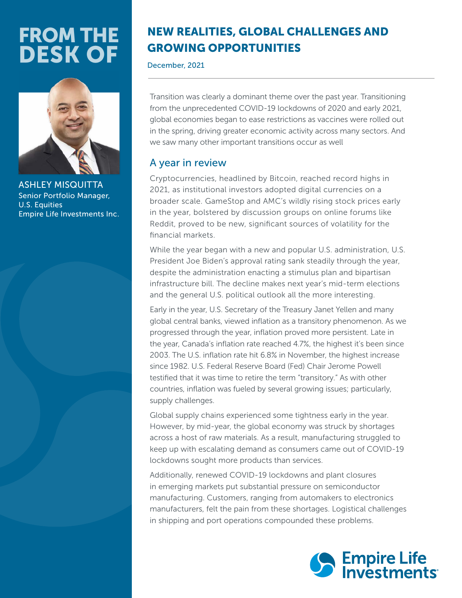# FROM THE DESK OF



**ASHLEY MISQUIT** Senior Portfolio Manager, U.S. Equities Empire Life Investments Inc.

## NEW REALITIES, GLOBAL CHALLENGES AND GROWING OPPORTUNITIES

December, 2021

Transition was clearly a dominant theme over the past year. Transitioning from the unprecedented COVID-19 lockdowns of 2020 and early 2021, global economies began to ease restrictions as vaccines were rolled out in the spring, driving greater economic activity across many sectors. And we saw many other important transitions occur as well

## A year in review

Cryptocurrencies, headlined by Bitcoin, reached record highs in 2021, as institutional investors adopted digital currencies on a broader scale. GameStop and AMC's wildly rising stock prices early in the year, bolstered by discussion groups on online forums like Reddit, proved to be new, significant sources of volatility for the financial markets.

While the year began with a new and popular U.S. administration, U.S. President Joe Biden's approval rating sank steadily through the year, despite the administration enacting a stimulus plan and bipartisan infrastructure bill. The decline makes next year's mid-term elections and the general U.S. political outlook all the more interesting.

Early in the year, U.S. Secretary of the Treasury Janet Yellen and many global central banks, viewed inflation as a transitory phenomenon. As we progressed through the year, inflation proved more persistent. Late in the year, Canada's inflation rate reached 4.7%, the highest it's been since 2003. The U.S. inflation rate hit 6.8% in November, the highest increase since 1982. U.S. Federal Reserve Board (Fed) Chair Jerome Powell testified that it was time to retire the term "transitory." As with other countries, inflation was fueled by several growing issues; particularly, supply challenges.

Global supply chains experienced some tightness early in the year. However, by mid-year, the global economy was struck by shortages across a host of raw materials. As a result, manufacturing struggled to keep up with escalating demand as consumers came out of COVID-19 lockdowns sought more products than services.

Additionally, renewed COVID-19 lockdowns and plant closures in emerging markets put substantial pressure on semiconductor manufacturing. Customers, ranging from automakers to electronics manufacturers, felt the pain from these shortages. Logistical challenges in shipping and port operations compounded these problems.

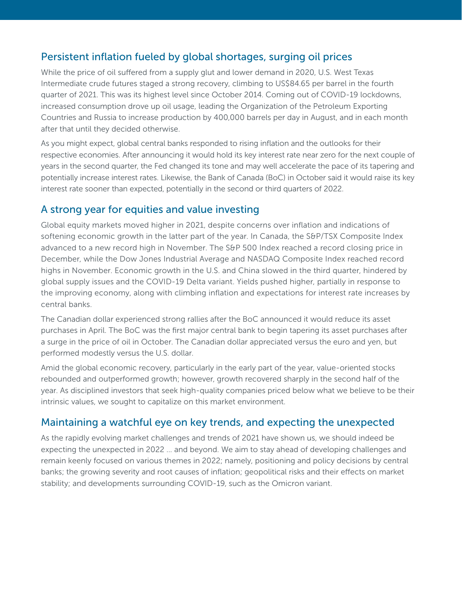### Persistent inflation fueled by global shortages, surging oil prices

While the price of oil suffered from a supply glut and lower demand in 2020, U.S. West Texas Intermediate crude futures staged a strong recovery, climbing to US\$84.65 per barrel in the fourth quarter of 2021. This was its highest level since October 2014. Coming out of COVID-19 lockdowns, increased consumption drove up oil usage, leading the Organization of the Petroleum Exporting Countries and Russia to increase production by 400,000 barrels per day in August, and in each month after that until they decided otherwise.

As you might expect, global central banks responded to rising inflation and the outlooks for their respective economies. After announcing it would hold its key interest rate near zero for the next couple of years in the second quarter, the Fed changed its tone and may well accelerate the pace of its tapering and potentially increase interest rates. Likewise, the Bank of Canada (BoC) in October said it would raise its key interest rate sooner than expected, potentially in the second or third quarters of 2022.

#### A strong year for equities and value investing

Global equity markets moved higher in 2021, despite concerns over inflation and indications of softening economic growth in the latter part of the year. In Canada, the S&P/TSX Composite Index advanced to a new record high in November. The S&P 500 Index reached a record closing price in December, while the Dow Jones Industrial Average and NASDAQ Composite Index reached record highs in November. Economic growth in the U.S. and China slowed in the third quarter, hindered by global supply issues and the COVID-19 Delta variant. Yields pushed higher, partially in response to the improving economy, along with climbing inflation and expectations for interest rate increases by central banks.

The Canadian dollar experienced strong rallies after the BoC announced it would reduce its asset purchases in April. The BoC was the first major central bank to begin tapering its asset purchases after a surge in the price of oil in October. The Canadian dollar appreciated versus the euro and yen, but performed modestly versus the U.S. dollar.

Amid the global economic recovery, particularly in the early part of the year, value-oriented stocks rebounded and outperformed growth; however, growth recovered sharply in the second half of the year. As disciplined investors that seek high-quality companies priced below what we believe to be their intrinsic values, we sought to capitalize on this market environment.

#### Maintaining a watchful eye on key trends, and expecting the unexpected

As the rapidly evolving market challenges and trends of 2021 have shown us, we should indeed be expecting the unexpected in 2022 … and beyond. We aim to stay ahead of developing challenges and remain keenly focused on various themes in 2022; namely, positioning and policy decisions by central banks; the growing severity and root causes of inflation; geopolitical risks and their effects on market stability; and developments surrounding COVID-19, such as the Omicron variant.